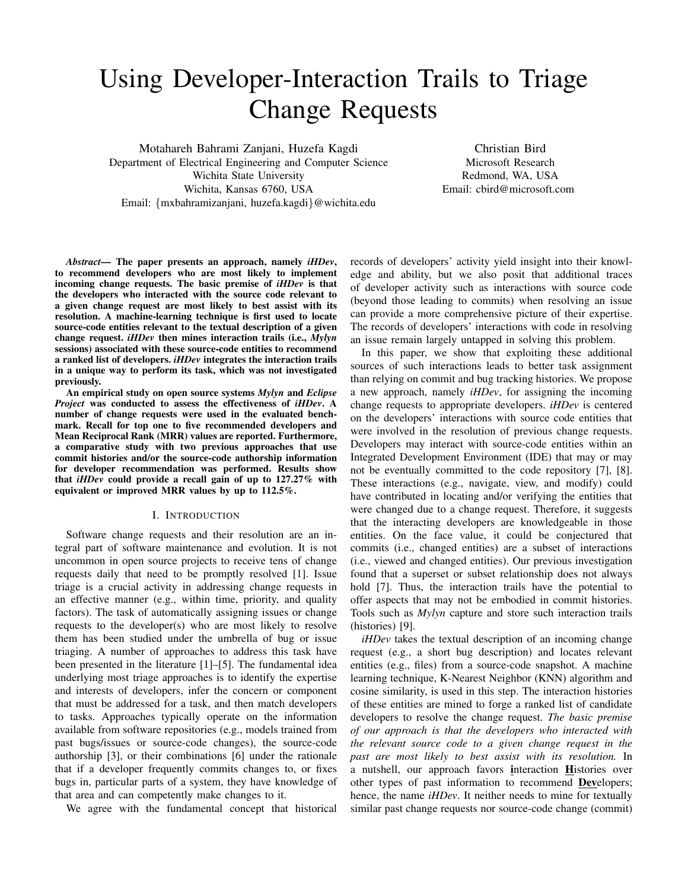# Using Developer-Interaction Trails to Triage Change Requests

Motahareh Bahrami Zanjani, Huzefa Kagdi Department of Electrical Engineering and Computer Science Wichita State University Wichita, Kansas 6760, USA Email: {mxbahramizanjani, huzefa.kagdi}@wichita.edu

Christian Bird Microsoft Research Redmond, WA, USA Email: cbird@microsoft.com

*Abstract*— The paper presents an approach, namely *iHDev*, to recommend developers who are most likely to implement incoming change requests. The basic premise of *iHDev* is that the developers who interacted with the source code relevant to a given change request are most likely to best assist with its resolution. A machine-learning technique is first used to locate source-code entities relevant to the textual description of a given change request. *iHDev* then mines interaction trails (i.e., *Mylyn* sessions) associated with these source-code entities to recommend a ranked list of developers. *iHDev* integrates the interaction trails in a unique way to perform its task, which was not investigated previously.

An empirical study on open source systems *Mylyn* and *Eclipse Project* was conducted to assess the effectiveness of *iHDev*. A number of change requests were used in the evaluated benchmark. Recall for top one to five recommended developers and Mean Reciprocal Rank (MRR) values are reported. Furthermore, a comparative study with two previous approaches that use commit histories and/or the source-code authorship information for developer recommendation was performed. Results show that *iHDev* could provide a recall gain of up to 127.27% with equivalent or improved MRR values by up to 112.5%.

#### I. INTRODUCTION

Software change requests and their resolution are an integral part of software maintenance and evolution. It is not uncommon in open source projects to receive tens of change requests daily that need to be promptly resolved [1]. Issue triage is a crucial activity in addressing change requests in an effective manner (e.g., within time, priority, and quality factors). The task of automatically assigning issues or change requests to the developer(s) who are most likely to resolve them has been studied under the umbrella of bug or issue triaging. A number of approaches to address this task have been presented in the literature [1]–[5]. The fundamental idea underlying most triage approaches is to identify the expertise and interests of developers, infer the concern or component that must be addressed for a task, and then match developers to tasks. Approaches typically operate on the information available from software repositories (e.g., models trained from past bugs/issues or source-code changes), the source-code authorship [3], or their combinations [6] under the rationale that if a developer frequently commits changes to, or fixes bugs in, particular parts of a system, they have knowledge of that area and can competently make changes to it.

We agree with the fundamental concept that historical

records of developers' activity yield insight into their knowledge and ability, but we also posit that additional traces of developer activity such as interactions with source code (beyond those leading to commits) when resolving an issue can provide a more comprehensive picture of their expertise. The records of developers' interactions with code in resolving an issue remain largely untapped in solving this problem.

In this paper, we show that exploiting these additional sources of such interactions leads to better task assignment than relying on commit and bug tracking histories. We propose a new approach, namely *iHDev*, for assigning the incoming change requests to appropriate developers. *iHDev* is centered on the developers' interactions with source code entities that were involved in the resolution of previous change requests. Developers may interact with source-code entities within an Integrated Development Environment (IDE) that may or may not be eventually committed to the code repository [7], [8]. These interactions (e.g., navigate, view, and modify) could have contributed in locating and/or verifying the entities that were changed due to a change request. Therefore, it suggests that the interacting developers are knowledgeable in those entities. On the face value, it could be conjectured that commits (i.e., changed entities) are a subset of interactions (i.e., viewed and changed entities). Our previous investigation found that a superset or subset relationship does not always hold [7]. Thus, the interaction trails have the potential to offer aspects that may not be embodied in commit histories. Tools such as *Mylyn* capture and store such interaction trails (histories) [9].

*iHDev* takes the textual description of an incoming change request (e.g., a short bug description) and locates relevant entities (e.g., files) from a source-code snapshot. A machine learning technique, K-Nearest Neighbor (KNN) algorithm and cosine similarity, is used in this step. The interaction histories of these entities are mined to forge a ranked list of candidate developers to resolve the change request. *The basic premise of our approach is that the developers who interacted with the relevant source code to a given change request in the past are most likely to best assist with its resolution.* In a nutshell, our approach favors interaction Histories over other types of past information to recommend Developers; hence, the name *iHDev*. It neither needs to mine for textually similar past change requests nor source-code change (commit)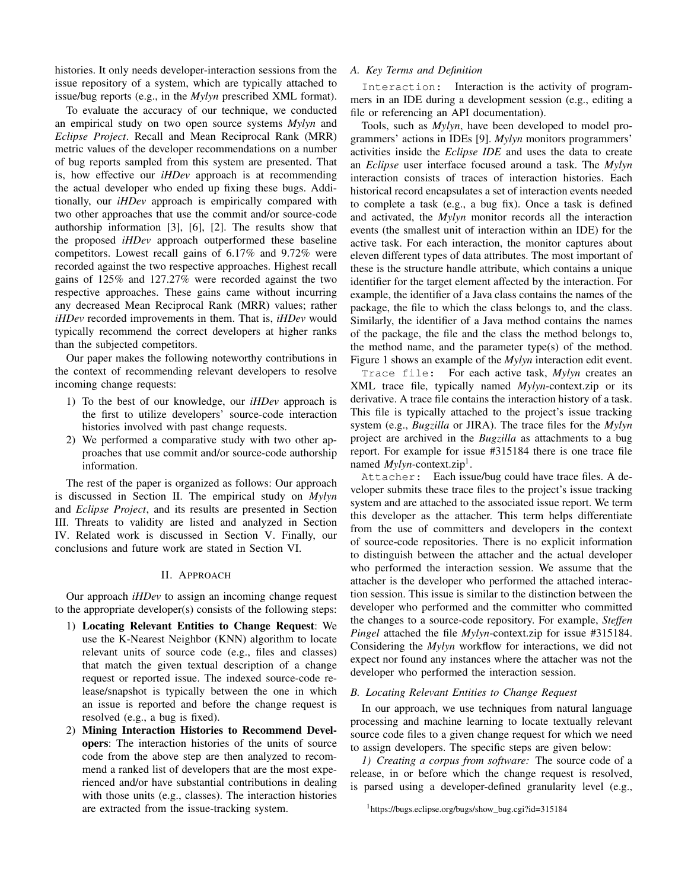histories. It only needs developer-interaction sessions from the issue repository of a system, which are typically attached to issue/bug reports (e.g., in the *Mylyn* prescribed XML format).

To evaluate the accuracy of our technique, we conducted an empirical study on two open source systems *Mylyn* and *Eclipse Project*. Recall and Mean Reciprocal Rank (MRR) metric values of the developer recommendations on a number of bug reports sampled from this system are presented. That is, how effective our *iHDev* approach is at recommending the actual developer who ended up fixing these bugs. Additionally, our *iHDev* approach is empirically compared with two other approaches that use the commit and/or source-code authorship information [3], [6], [2]. The results show that the proposed *iHDev* approach outperformed these baseline competitors. Lowest recall gains of 6.17% and 9.72% were recorded against the two respective approaches. Highest recall gains of 125% and 127.27% were recorded against the two respective approaches. These gains came without incurring any decreased Mean Reciprocal Rank (MRR) values; rather *iHDev* recorded improvements in them. That is, *iHDev* would typically recommend the correct developers at higher ranks than the subjected competitors.

Our paper makes the following noteworthy contributions in the context of recommending relevant developers to resolve incoming change requests:

- 1) To the best of our knowledge, our *iHDev* approach is the first to utilize developers' source-code interaction histories involved with past change requests.
- 2) We performed a comparative study with two other approaches that use commit and/or source-code authorship information.

The rest of the paper is organized as follows: Our approach is discussed in Section II. The empirical study on *Mylyn* and *Eclipse Project*, and its results are presented in Section III. Threats to validity are listed and analyzed in Section IV. Related work is discussed in Section V. Finally, our conclusions and future work are stated in Section VI.

## II. APPROACH

Our approach *iHDev* to assign an incoming change request to the appropriate developer(s) consists of the following steps:

- 1) Locating Relevant Entities to Change Request: We use the K-Nearest Neighbor (KNN) algorithm to locate relevant units of source code (e.g., files and classes) that match the given textual description of a change request or reported issue. The indexed source-code release/snapshot is typically between the one in which an issue is reported and before the change request is resolved (e.g., a bug is fixed).
- 2) Mining Interaction Histories to Recommend Developers: The interaction histories of the units of source code from the above step are then analyzed to recommend a ranked list of developers that are the most experienced and/or have substantial contributions in dealing with those units (e.g., classes). The interaction histories are extracted from the issue-tracking system.

### *A. Key Terms and Definition*

Interaction: Interaction is the activity of programmers in an IDE during a development session (e.g., editing a file or referencing an API documentation).

Tools, such as *Mylyn*, have been developed to model programmers' actions in IDEs [9]. *Mylyn* monitors programmers' activities inside the *Eclipse IDE* and uses the data to create an *Eclipse* user interface focused around a task. The *Mylyn* interaction consists of traces of interaction histories. Each historical record encapsulates a set of interaction events needed to complete a task (e.g., a bug fix). Once a task is defined and activated, the *Mylyn* monitor records all the interaction events (the smallest unit of interaction within an IDE) for the active task. For each interaction, the monitor captures about eleven different types of data attributes. The most important of these is the structure handle attribute, which contains a unique identifier for the target element affected by the interaction. For example, the identifier of a Java class contains the names of the package, the file to which the class belongs to, and the class. Similarly, the identifier of a Java method contains the names of the package, the file and the class the method belongs to, the method name, and the parameter type(s) of the method. Figure 1 shows an example of the *Mylyn* interaction edit event.

Trace file: For each active task, *Mylyn* creates an XML trace file, typically named *Mylyn*-context.zip or its derivative. A trace file contains the interaction history of a task. This file is typically attached to the project's issue tracking system (e.g., *Bugzilla* or JIRA). The trace files for the *Mylyn* project are archived in the *Bugzilla* as attachments to a bug report. For example for issue #315184 there is one trace file named *Mylyn*-context.zip<sup>1</sup>.

Attacher: Each issue/bug could have trace files. A developer submits these trace files to the project's issue tracking system and are attached to the associated issue report. We term this developer as the attacher. This term helps differentiate from the use of committers and developers in the context of source-code repositories. There is no explicit information to distinguish between the attacher and the actual developer who performed the interaction session. We assume that the attacher is the developer who performed the attached interaction session. This issue is similar to the distinction between the developer who performed and the committer who committed the changes to a source-code repository. For example, *Steffen Pingel* attached the file *Mylyn*-context.zip for issue #315184. Considering the *Mylyn* workflow for interactions, we did not expect nor found any instances where the attacher was not the developer who performed the interaction session.

#### *B. Locating Relevant Entities to Change Request*

In our approach, we use techniques from natural language processing and machine learning to locate textually relevant source code files to a given change request for which we need to assign developers. The specific steps are given below:

*1) Creating a corpus from software:* The source code of a release, in or before which the change request is resolved, is parsed using a developer-defined granularity level (e.g.,

<sup>&</sup>lt;sup>1</sup>https://bugs.eclipse.org/bugs/show\_bug.cgi?id=315184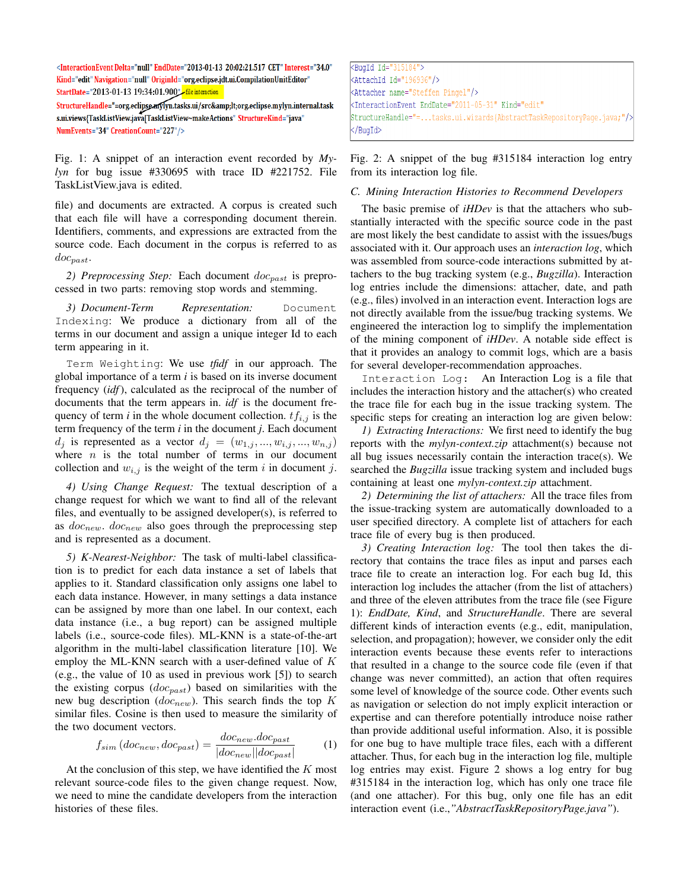<InteractionEventDelta="null"EndDate="2013-01-13 20:02:21.517 CET" Interest="34.0" Kind="edit" Navigation="null" OriginId="org.eclipse.jdt.ui.CompilationUnitEditor" StartDate="2013-01-13 19:34:01.900"

 $\textbf{Structure} \textbf{H} \textbf{and} \textbf{le="=}\textcolor{red}{"= or geclipses} \textbf{m} \textbf{y} \textbf{lyn}.\textbf{tasks}.\textbf{ui}/src \& \textbf{amp};lt; \textbf{org}. \textbf{e} \textbf{clipses}.\textbf{mylyn}. \textbf{internal}. \textbf{task} \textbf{gt} \textbf{q}$ s.ui.views{TaskListView.java[TaskListView~makeActions" StructureKind="java" NumEvents="34" CreationCount="227"/>

Fig. 1: A snippet of an interaction event recorded by *Mylyn* for bug issue #330695 with trace ID #221752. File TaskListView.java is edited.

file) and documents are extracted. A corpus is created such that each file will have a corresponding document therein. Identifiers, comments, and expressions are extracted from the source code. Each document in the corpus is referred to as  $doc_{past}.$ 

2) Preprocessing Step: Each document  $doc_{past}$  is preprocessed in two parts: removing stop words and stemming.

*3) Document-Term Representation:* Document Indexing: We produce a dictionary from all of the terms in our document and assign a unique integer Id to each term appearing in it.

Term Weighting: We use *tfidf* in our approach. The global importance of a term *i* is based on its inverse document frequency (*idf*), calculated as the reciprocal of the number of documents that the term appears in. *idf* is the document frequency of term *i* in the whole document collection.  $tf_{i,j}$  is the term frequency of the term *i* in the document *j*. Each document  $d_j$  is represented as a vector  $d_j = (w_{1,j},...,w_{i,j},...,w_{n,j})$ where  $n$  is the total number of terms in our document collection and  $w_{i,j}$  is the weight of the term i in document j.

*4) Using Change Request:* The textual description of a change request for which we want to find all of the relevant files, and eventually to be assigned developer(s), is referred to as  $doc_{new}$ .  $doc_{new}$  also goes through the preprocessing step and is represented as a document.

*5) K-Nearest-Neighbor:* The task of multi-label classification is to predict for each data instance a set of labels that applies to it. Standard classification only assigns one label to each data instance. However, in many settings a data instance can be assigned by more than one label. In our context, each data instance (i.e., a bug report) can be assigned multiple labels (i.e., source-code files). ML-KNN is a state-of-the-art algorithm in the multi-label classification literature [10]. We employ the ML-KNN search with a user-defined value of  $K$ (e.g., the value of 10 as used in previous work [5]) to search the existing corpus  $(doc_{past})$  based on similarities with the new bug description  $(doc_{new})$ . This search finds the top K similar files. Cosine is then used to measure the similarity of the two document vectors.

$$
f_{sim}(doc_{new}, doc_{past}) = \frac{doc_{new}.doc_{past}}{|doc_{new}||doc_{past}|}
$$
 (1)

At the conclusion of this step, we have identified the  $K$  most relevant source-code files to the given change request. Now, we need to mine the candidate developers from the interaction histories of these files.

<BugId Id="315184"> <AttachId Id="196936"/> <Attacher name="Steffen Pingel"/> StructureHandle="=...tasks.ui.wizards{AbstractTaskRepositoryPage.java;"/> </BuaId>

Fig. 2: A snippet of the bug #315184 interaction log entry from its interaction log file.

### *C. Mining Interaction Histories to Recommend Developers*

The basic premise of *iHDev* is that the attachers who substantially interacted with the specific source code in the past are most likely the best candidate to assist with the issues/bugs associated with it. Our approach uses an *interaction log*, which was assembled from source-code interactions submitted by attachers to the bug tracking system (e.g., *Bugzilla*). Interaction log entries include the dimensions: attacher, date, and path (e.g., files) involved in an interaction event. Interaction logs are not directly available from the issue/bug tracking systems. We engineered the interaction log to simplify the implementation of the mining component of *iHDev*. A notable side effect is that it provides an analogy to commit logs, which are a basis for several developer-recommendation approaches.

Interaction Log: An Interaction Log is a file that includes the interaction history and the attacher(s) who created the trace file for each bug in the issue tracking system. The specific steps for creating an interaction log are given below:

*1) Extracting Interactions:* We first need to identify the bug reports with the *mylyn-context.zip* attachment(s) because not all bug issues necessarily contain the interaction trace(s). We searched the *Bugzilla* issue tracking system and included bugs containing at least one *mylyn-context.zip* attachment.

*2) Determining the list of attachers:* All the trace files from the issue-tracking system are automatically downloaded to a user specified directory. A complete list of attachers for each trace file of every bug is then produced.

*3) Creating Interaction log:* The tool then takes the directory that contains the trace files as input and parses each trace file to create an interaction log. For each bug Id, this interaction log includes the attacher (from the list of attachers) and three of the eleven attributes from the trace file (see Figure 1): *EndDate, Kind*, and *StructureHandle*. There are several different kinds of interaction events (e.g., edit, manipulation, selection, and propagation); however, we consider only the edit interaction events because these events refer to interactions that resulted in a change to the source code file (even if that change was never committed), an action that often requires some level of knowledge of the source code. Other events such as navigation or selection do not imply explicit interaction or expertise and can therefore potentially introduce noise rather than provide additional useful information. Also, it is possible for one bug to have multiple trace files, each with a different attacher. Thus, for each bug in the interaction log file, multiple log entries may exist. Figure 2 shows a log entry for bug #315184 in the interaction log, which has only one trace file (and one attacher). For this bug, only one file has an edit interaction event (i.e.,*"AbstractTaskRepositoryPage.java"*).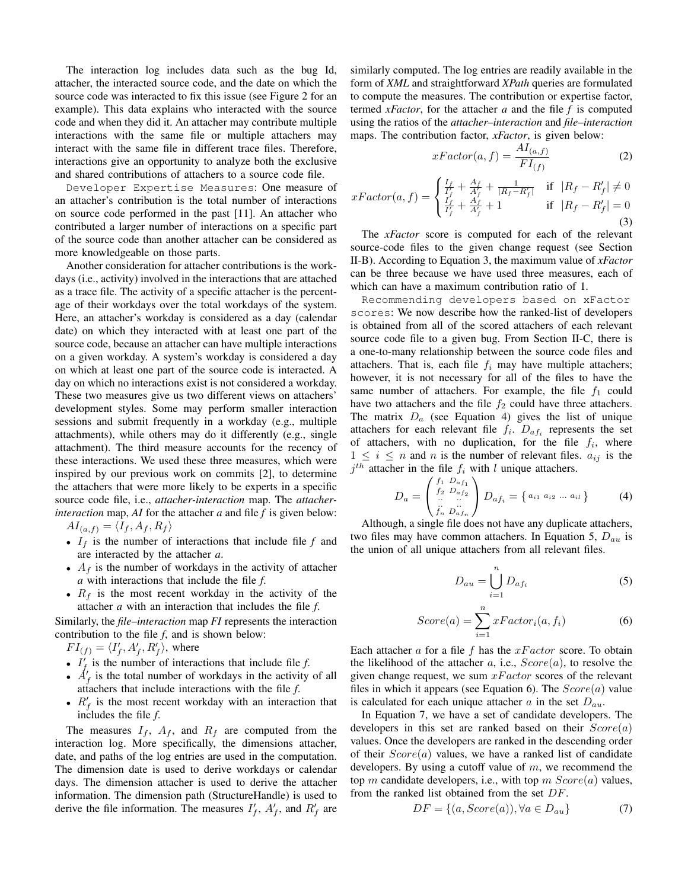The interaction log includes data such as the bug Id, attacher, the interacted source code, and the date on which the source code was interacted to fix this issue (see Figure 2 for an example). This data explains who interacted with the source code and when they did it. An attacher may contribute multiple interactions with the same file or multiple attachers may interact with the same file in different trace files. Therefore, interactions give an opportunity to analyze both the exclusive and shared contributions of attachers to a source code file.

Developer Expertise Measures: One measure of an attacher's contribution is the total number of interactions on source code performed in the past [11]. An attacher who contributed a larger number of interactions on a specific part of the source code than another attacher can be considered as more knowledgeable on those parts.

Another consideration for attacher contributions is the workdays (i.e., activity) involved in the interactions that are attached as a trace file. The activity of a specific attacher is the percentage of their workdays over the total workdays of the system. Here, an attacher's workday is considered as a day (calendar date) on which they interacted with at least one part of the source code, because an attacher can have multiple interactions on a given workday. A system's workday is considered a day on which at least one part of the source code is interacted. A day on which no interactions exist is not considered a workday. These two measures give us two different views on attachers' development styles. Some may perform smaller interaction sessions and submit frequently in a workday (e.g., multiple attachments), while others may do it differently (e.g., single attachment). The third measure accounts for the recency of these interactions. We used these three measures, which were inspired by our previous work on commits [2], to determine the attachers that were more likely to be experts in a specific source code file, i.e., *attacher-interaction* map. The *attacherinteraction* map, *AI* for the attacher *a* and file *f* is given below:  $AI_{(a,f)} = \langle I_f , A_f , R_f \rangle$ 

- $I_f$  is the number of interactions that include file  $f$  and are interacted by the attacher *a*.
- $A_f$  is the number of workdays in the activity of attacher *a* with interactions that include the file *f*.
- $R_f$  is the most recent workday in the activity of the attacher *a* with an interaction that includes the file *f*.

Similarly, the *file–interaction* map *FI* represents the interaction contribution to the file *f*, and is shown below:

- $FI_{(f)} = \langle I'_f, A'_f, R'_f \rangle$ , where
- $I'_f$  is the number of interactions that include file  $f$ .
- $\dot{A}'_f$  is the total number of workdays in the activity of all attachers that include interactions with the file *f*.
- $R'_f$  is the most recent workday with an interaction that includes the file *f*.

The measures  $I_f$ ,  $A_f$ , and  $R_f$  are computed from the interaction log. More specifically, the dimensions attacher, date, and paths of the log entries are used in the computation. The dimension date is used to derive workdays or calendar days. The dimension attacher is used to derive the attacher information. The dimension path (StructureHandle) is used to derive the file information. The measures  $I'_f$ ,  $A'_f$ , and  $R'_f$  are similarly computed. The log entries are readily available in the form of *XML* and straightforward *XPath* queries are formulated to compute the measures. The contribution or expertise factor, termed *xFactor*, for the attacher *a* and the file *f* is computed using the ratios of the *attacher–interaction* and *file–interaction* maps. The contribution factor, *xFactor*, is given below:

$$
xFactor(a,f) = \frac{AI_{(a,f)}}{FI_{(f)}}\tag{2}
$$

$$
xFactor(a, f) = \begin{cases} \frac{I_f}{I_f'} + \frac{A_f}{A_f'} + \frac{1}{|R_f - R_f'|} & \text{if } |R_f - R_f'| \neq 0\\ \frac{I_f}{I_f'} + \frac{A_f}{A_f'} + 1 & \text{if } |R_f - R_f'| = 0\\ \end{cases}
$$
(3)

The *xFactor* score is computed for each of the relevant source-code files to the given change request (see Section II-B). According to Equation 3, the maximum value of *xFactor* can be three because we have used three measures, each of which can have a maximum contribution ratio of 1.

Recommending developers based on xFactor scores: We now describe how the ranked-list of developers is obtained from all of the scored attachers of each relevant source code file to a given bug. From Section II-C, there is a one-to-many relationship between the source code files and attachers. That is, each file  $f_i$  may have multiple attachers; however, it is not necessary for all of the files to have the same number of attachers. For example, the file  $f_1$  could have two attachers and the file  $f_2$  could have three attachers. The matrix  $D_a$  (see Equation 4) gives the list of unique attachers for each relevant file  $f_i$ .  $D_{af_i}$  represents the set of attachers, with no duplication, for the file  $f_i$ , where  $1 \leq i \leq n$  and n is the number of relevant files.  $a_{ij}$  is the  $j<sup>th</sup>$  attacher in the file  $f_i$  with l unique attachers.

$$
D_a = \begin{pmatrix} f_1 & D_{af_1} \\ f_2 & D_{af_2} \\ \vdots & \vdots \\ f_n & D_{af_n} \end{pmatrix} D_{af_i} = \{ a_{i1} \ a_{i2} \ ... \ a_{il} \}
$$
 (4)

Although, a single file does not have any duplicate attachers, two files may have common attachers. In Equation 5,  $D_{au}$  is the union of all unique attachers from all relevant files.

$$
D_{au} = \bigcup_{i=1}^{n} D_{af_i}
$$
 (5)

$$
Score(a) = \sum_{i=1}^{n} xFactor_i(a, f_i)
$$
 (6)

Each attacher a for a file f has the  $xFactor$  score. To obtain the likelihood of the attacher a, i.e.,  $Score(a)$ , to resolve the given change request, we sum  $xFactor$  scores of the relevant files in which it appears (see Equation 6). The  $Score(a)$  value is calculated for each unique attacher a in the set  $D_{au}$ .

In Equation 7, we have a set of candidate developers. The developers in this set are ranked based on their  $Score(a)$ values. Once the developers are ranked in the descending order of their  $Score(a)$  values, we have a ranked list of candidate developers. By using a cutoff value of  $m$ , we recommend the top m candidate developers, i.e., with top m  $Score(a)$  values, from the ranked list obtained from the set DF.

$$
DF = \{(a, Score(a)), \forall a \in D_{au}\}\tag{7}
$$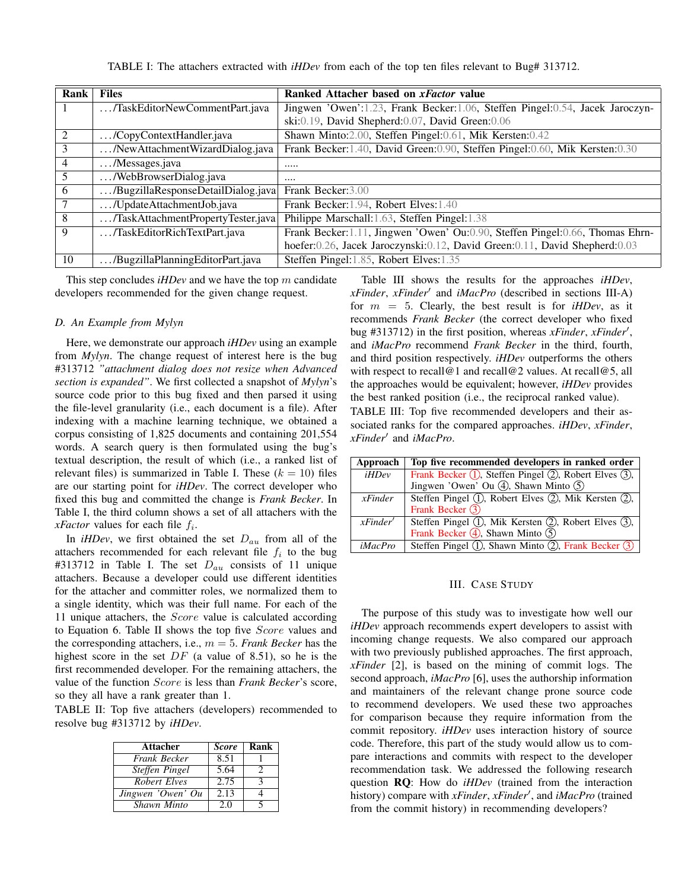TABLE I: The attachers extracted with *iHDev* from each of the top ten files relevant to Bug# 313712.

| Rank    | <b>Files</b>                       | Ranked Attacher based on <i>xFactor</i> value                                   |
|---------|------------------------------------|---------------------------------------------------------------------------------|
| $\perp$ | /TaskEditorNewCommentPart.java     | Jingwen 'Owen':1.23, Frank Becker:1.06, Steffen Pingel:0.54, Jacek Jaroczyn-    |
|         |                                    | ski: 0.19, David Shepherd: 0.07, David Green: 0.06                              |
| 2       | /CopyContextHandler.java           | Shawn Minto:2.00, Steffen Pingel:0.61, Mik Kersten:0.42                         |
| 3       | /NewAttachmentWizardDialog.java    | Frank Becker: 1.40, David Green: 0.90, Steffen Pingel: 0.60, Mik Kersten: 0.30  |
| 4       | /Messages.java                     |                                                                                 |
| 5       | /WebBrowserDialog.java             |                                                                                 |
| 6       | /BugzillaResponseDetailDialog.java | Frank Becker: 3.00                                                              |
|         | /UpdateAttachmentJob.java          | Frank Becker: 1.94, Robert Elves: 1.40                                          |
| 8       | /TaskAttachmentPropertyTester.java | Philippe Marschall: 1.63, Steffen Pingel: 1.38                                  |
| 9       | /TaskEditorRichTextPart.java       | Frank Becker: 1.11, Jingwen 'Owen' Ou: 0.90, Steffen Pingel: 0.66, Thomas Ehrn- |
|         |                                    | hoefer:0.26, Jacek Jaroczynski:0.12, David Green:0.11, David Shepherd:0.03      |
| 10      | /BugzillaPlanningEditorPart.java   | Steffen Pingel:1.85, Robert Elves:1.35                                          |

This step concludes *iHDev* and we have the top m candidate developers recommended for the given change request.

#### *D. An Example from Mylyn*

Here, we demonstrate our approach *iHDev* using an example from *Mylyn*. The change request of interest here is the bug #313712 *"attachment dialog does not resize when Advanced section is expanded"*. We first collected a snapshot of *Mylyn*'s source code prior to this bug fixed and then parsed it using the file-level granularity (i.e., each document is a file). After indexing with a machine learning technique, we obtained a corpus consisting of 1,825 documents and containing 201,554 words. A search query is then formulated using the bug's textual description, the result of which (i.e., a ranked list of relevant files) is summarized in Table I. These  $(k = 10)$  files are our starting point for *iHDev*. The correct developer who fixed this bug and committed the change is *Frank Becker*. In Table I, the third column shows a set of all attachers with the *xFactor* values for each file  $f_i$ .

In *iHDev*, we first obtained the set  $D_{au}$  from all of the attachers recommended for each relevant file  $f_i$  to the bug #313712 in Table I. The set  $D_{au}$  consists of 11 unique attachers. Because a developer could use different identities for the attacher and committer roles, we normalized them to a single identity, which was their full name. For each of the 11 unique attachers, the Score value is calculated according to Equation 6. Table II shows the top five *Score* values and the corresponding attachers, i.e.,  $m = 5$ . *Frank Becker* has the highest score in the set  $DF$  (a value of 8.51), so he is the first recommended developer. For the remaining attachers, the value of the function Score is less than *Frank Becker*'s score, so they all have a rank greater than 1.

TABLE II: Top five attachers (developers) recommended to resolve bug #313712 by *iHDev*.

| <b>Attacher</b>     | <b>Score</b> | Rank |
|---------------------|--------------|------|
| <b>Frank Becker</b> | 8.51         |      |
| Steffen Pingel      | 5.64         |      |
| Robert Elves        | 2.75         |      |
| Jingwen 'Owen' Ou   | 2.13         |      |
| Shawn Minto         | 2.0          |      |

Table III shows the results for the approaches *iHDev*, *xFinder*, *xFinder'* and *iMacPro* (described in sections III-A) for  $m = 5$ . Clearly, the best result is for *iHDev*, as it recommends *Frank Becker* (the correct developer who fixed bug #313712) in the first position, whereas *xFinder*, *xFinder'*, and *iMacPro* recommend *Frank Becker* in the third, fourth, and third position respectively. *iHDev* outperforms the others with respect to recall@1 and recall@2 values. At recall@5, all the approaches would be equivalent; however, *iHDev* provides the best ranked position (i.e., the reciprocal ranked value). TABLE III: Top five recommended developers and their associated ranks for the compared approaches. *iHDev*, *xFinder*,

*xFinder'* and *iMacPro*.

| Approach               | Top five recommended developers in ranked order                  |
|------------------------|------------------------------------------------------------------|
| <i>iHDev</i>           | Frank Becker $(1)$ , Steffen Pingel $(2)$ , Robert Elves $(3)$ , |
|                        | Jingwen 'Owen' Ou $(4)$ , Shawn Minto $(5)$                      |
| $x \rightarrow$ Finder | Steffen Pingel $(1)$ , Robert Elves $(2)$ , Mik Kersten $(2)$ ,  |
|                        | Frank Becker (3)                                                 |
| $x \mathit{Finder}'$   | Steffen Pingel (1), Mik Kersten (2), Robert Elves (3),           |
|                        | Frank Becker $(4)$ , Shawn Minto $(5)$                           |
| <i>iMacPro</i>         | Steffen Pingel $(1)$ , Shawn Minto $(2)$ , Frank Becker $(3)$    |

## III. CASE STUDY

The purpose of this study was to investigate how well our *iHDev* approach recommends expert developers to assist with incoming change requests. We also compared our approach with two previously published approaches. The first approach, *xFinder* [2], is based on the mining of commit logs. The second approach, *iMacPro* [6], uses the authorship information and maintainers of the relevant change prone source code to recommend developers. We used these two approaches for comparison because they require information from the commit repository. *iHDev* uses interaction history of source code. Therefore, this part of the study would allow us to compare interactions and commits with respect to the developer recommendation task. We addressed the following research question RQ: How do *iHDev* (trained from the interaction history) compare with *xFinder*, *xFinder'*, and *iMacPro* (trained from the commit history) in recommending developers?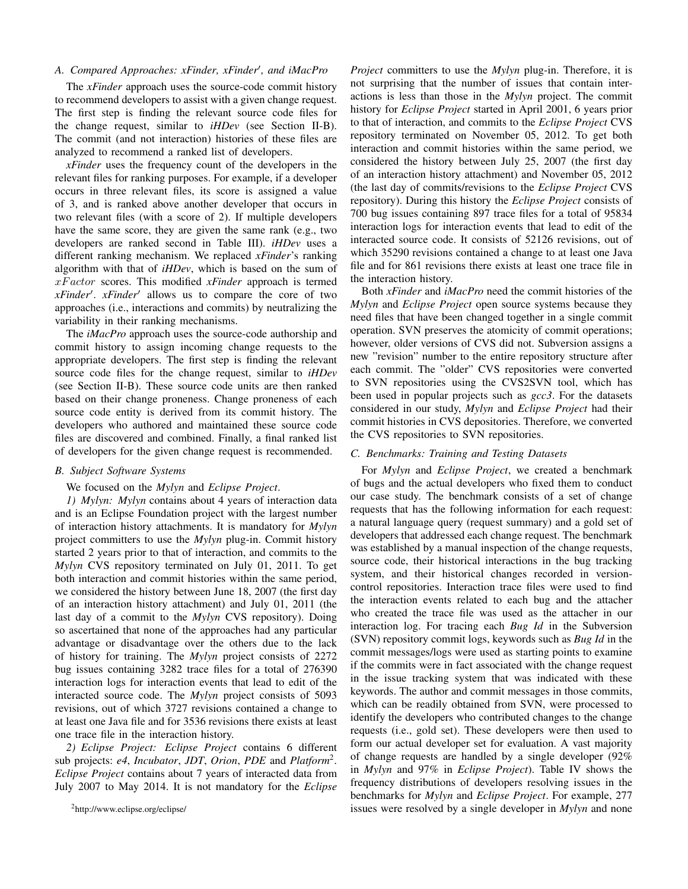# A. Compared Approaches: xFinder, xFinder<sup>'</sup>, and iMacPro

The *xFinder* approach uses the source-code commit history to recommend developers to assist with a given change request. The first step is finding the relevant source code files for the change request, similar to *iHDev* (see Section II-B). The commit (and not interaction) histories of these files are analyzed to recommend a ranked list of developers.

*xFinder* uses the frequency count of the developers in the relevant files for ranking purposes. For example, if a developer occurs in three relevant files, its score is assigned a value of 3, and is ranked above another developer that occurs in two relevant files (with a score of 2). If multiple developers have the same score, they are given the same rank (e.g., two developers are ranked second in Table III). *iHDev* uses a different ranking mechanism. We replaced *xFinder*'s ranking algorithm with that of *iHDev*, which is based on the sum of xF actor scores. This modified *xFinder* approach is termed xFinder'. xFinder' allows us to compare the core of two approaches (i.e., interactions and commits) by neutralizing the variability in their ranking mechanisms.

The *iMacPro* approach uses the source-code authorship and commit history to assign incoming change requests to the appropriate developers. The first step is finding the relevant source code files for the change request, similar to *iHDev* (see Section II-B). These source code units are then ranked based on their change proneness. Change proneness of each source code entity is derived from its commit history. The developers who authored and maintained these source code files are discovered and combined. Finally, a final ranked list of developers for the given change request is recommended.

# *B. Subject Software Systems*

## We focused on the *Mylyn* and *Eclipse Project*.

*1) Mylyn: Mylyn* contains about 4 years of interaction data and is an Eclipse Foundation project with the largest number of interaction history attachments. It is mandatory for *Mylyn* project committers to use the *Mylyn* plug-in. Commit history started 2 years prior to that of interaction, and commits to the *Mylyn* CVS repository terminated on July 01, 2011. To get both interaction and commit histories within the same period, we considered the history between June 18, 2007 (the first day of an interaction history attachment) and July 01, 2011 (the last day of a commit to the *Mylyn* CVS repository). Doing so ascertained that none of the approaches had any particular advantage or disadvantage over the others due to the lack of history for training. The *Mylyn* project consists of 2272 bug issues containing 3282 trace files for a total of 276390 interaction logs for interaction events that lead to edit of the interacted source code. The *Mylyn* project consists of 5093 revisions, out of which 3727 revisions contained a change to at least one Java file and for 3536 revisions there exists at least one trace file in the interaction history.

*2) Eclipse Project: Eclipse Project* contains 6 different sub projects: *e4*, *Incubator*, *JDT*, *Orion*, *PDE* and *Platform*<sup>2</sup> . *Eclipse Project* contains about 7 years of interacted data from July 2007 to May 2014. It is not mandatory for the *Eclipse*

<sup>2</sup>http://www.eclipse.org/eclipse/

*Project* committers to use the *Mylyn* plug-in. Therefore, it is not surprising that the number of issues that contain interactions is less than those in the *Mylyn* project. The commit history for *Eclipse Project* started in April 2001, 6 years prior to that of interaction, and commits to the *Eclipse Project* CVS repository terminated on November 05, 2012. To get both interaction and commit histories within the same period, we considered the history between July 25, 2007 (the first day of an interaction history attachment) and November 05, 2012 (the last day of commits/revisions to the *Eclipse Project* CVS repository). During this history the *Eclipse Project* consists of 700 bug issues containing 897 trace files for a total of 95834 interaction logs for interaction events that lead to edit of the interacted source code. It consists of 52126 revisions, out of which 35290 revisions contained a change to at least one Java file and for 861 revisions there exists at least one trace file in the interaction history.

Both *xFinder* and *iMacPro* need the commit histories of the *Mylyn* and *Eclipse Project* open source systems because they need files that have been changed together in a single commit operation. SVN preserves the atomicity of commit operations; however, older versions of CVS did not. Subversion assigns a new "revision" number to the entire repository structure after each commit. The "older" CVS repositories were converted to SVN repositories using the CVS2SVN tool, which has been used in popular projects such as *gcc3*. For the datasets considered in our study, *Mylyn* and *Eclipse Project* had their commit histories in CVS depositories. Therefore, we converted the CVS repositories to SVN repositories.

# *C. Benchmarks: Training and Testing Datasets*

For *Mylyn* and *Eclipse Project*, we created a benchmark of bugs and the actual developers who fixed them to conduct our case study. The benchmark consists of a set of change requests that has the following information for each request: a natural language query (request summary) and a gold set of developers that addressed each change request. The benchmark was established by a manual inspection of the change requests, source code, their historical interactions in the bug tracking system, and their historical changes recorded in versioncontrol repositories. Interaction trace files were used to find the interaction events related to each bug and the attacher who created the trace file was used as the attacher in our interaction log. For tracing each *Bug Id* in the Subversion (SVN) repository commit logs, keywords such as *Bug Id* in the commit messages/logs were used as starting points to examine if the commits were in fact associated with the change request in the issue tracking system that was indicated with these keywords. The author and commit messages in those commits, which can be readily obtained from SVN, were processed to identify the developers who contributed changes to the change requests (i.e., gold set). These developers were then used to form our actual developer set for evaluation. A vast majority of change requests are handled by a single developer (92% in *Mylyn* and 97% in *Eclipse Project*). Table IV shows the frequency distributions of developers resolving issues in the benchmarks for *Mylyn* and *Eclipse Project*. For example, 277 issues were resolved by a single developer in *Mylyn* and none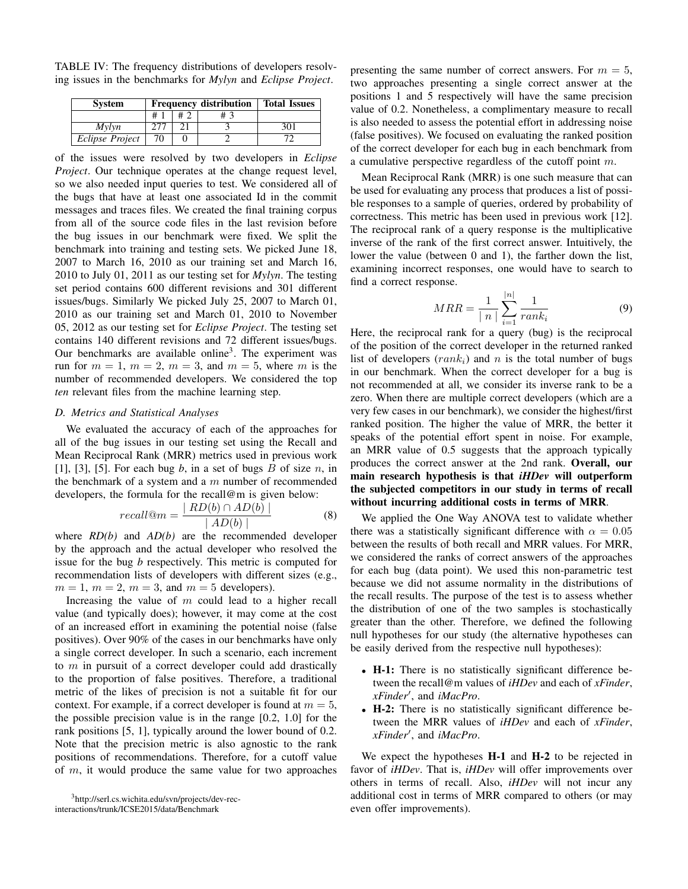TABLE IV: The frequency distributions of developers resolving issues in the benchmarks for *Mylyn* and *Eclipse Project*.

| <b>System</b>   |    |    | <b>Frequency distribution</b> | <b>Total Issues</b> |  |  |
|-----------------|----|----|-------------------------------|---------------------|--|--|
|                 | #1 | #2 | # 3                           |                     |  |  |
| Mvlvn           |    |    |                               | 301                 |  |  |
| Eclipse Project | 70 |    |                               |                     |  |  |

of the issues were resolved by two developers in *Eclipse Project*. Our technique operates at the change request level, so we also needed input queries to test. We considered all of the bugs that have at least one associated Id in the commit messages and traces files. We created the final training corpus from all of the source code files in the last revision before the bug issues in our benchmark were fixed. We split the benchmark into training and testing sets. We picked June 18, 2007 to March 16, 2010 as our training set and March 16, 2010 to July 01, 2011 as our testing set for *Mylyn*. The testing set period contains 600 different revisions and 301 different issues/bugs. Similarly We picked July 25, 2007 to March 01, 2010 as our training set and March 01, 2010 to November 05, 2012 as our testing set for *Eclipse Project*. The testing set contains 140 different revisions and 72 different issues/bugs. Our benchmarks are available online<sup>3</sup>. The experiment was run for  $m = 1$ ,  $m = 2$ ,  $m = 3$ , and  $m = 5$ , where m is the number of recommended developers. We considered the top *ten* relevant files from the machine learning step.

## *D. Metrics and Statistical Analyses*

We evaluated the accuracy of each of the approaches for all of the bug issues in our testing set using the Recall and Mean Reciprocal Rank (MRR) metrics used in previous work [1], [3], [5]. For each bug  $b$ , in a set of bugs  $B$  of size  $n$ , in the benchmark of a system and a  $m$  number of recommended developers, the formula for the recall@m is given below:

$$
recall@m = \frac{|RD(b) \cap AD(b)|}{|AD(b)|}
$$
 (8)

where *RD(b)* and *AD(b)* are the recommended developer by the approach and the actual developer who resolved the issue for the bug *b* respectively. This metric is computed for recommendation lists of developers with different sizes (e.g.,  $m = 1$ ,  $m = 2$ ,  $m = 3$ , and  $m = 5$  developers).

Increasing the value of m could lead to a higher recall value (and typically does); however, it may come at the cost of an increased effort in examining the potential noise (false positives). Over 90% of the cases in our benchmarks have only a single correct developer. In such a scenario, each increment to  $m$  in pursuit of a correct developer could add drastically to the proportion of false positives. Therefore, a traditional metric of the likes of precision is not a suitable fit for our context. For example, if a correct developer is found at  $m = 5$ , the possible precision value is in the range [0.2, 1.0] for the rank positions [5, 1], typically around the lower bound of 0.2. Note that the precision metric is also agnostic to the rank positions of recommendations. Therefore, for a cutoff value of  $m$ , it would produce the same value for two approaches

<sup>3</sup>http://serl.cs.wichita.edu/svn/projects/dev-recinteractions/trunk/ICSE2015/data/Benchmark

presenting the same number of correct answers. For  $m = 5$ , two approaches presenting a single correct answer at the positions 1 and 5 respectively will have the same precision value of 0.2. Nonetheless, a complimentary measure to recall is also needed to assess the potential effort in addressing noise (false positives). We focused on evaluating the ranked position of the correct developer for each bug in each benchmark from a cumulative perspective regardless of the cutoff point m.

Mean Reciprocal Rank (MRR) is one such measure that can be used for evaluating any process that produces a list of possible responses to a sample of queries, ordered by probability of correctness. This metric has been used in previous work [12]. The reciprocal rank of a query response is the multiplicative inverse of the rank of the first correct answer. Intuitively, the lower the value (between 0 and 1), the farther down the list, examining incorrect responses, one would have to search to find a correct response.

$$
MRR = \frac{1}{|n|} \sum_{i=1}^{|n|} \frac{1}{rank_i}
$$
 (9)

Here, the reciprocal rank for a query (bug) is the reciprocal of the position of the correct developer in the returned ranked list of developers  $(rank<sub>i</sub>)$  and n is the total number of bugs in our benchmark. When the correct developer for a bug is not recommended at all, we consider its inverse rank to be a zero. When there are multiple correct developers (which are a very few cases in our benchmark), we consider the highest/first ranked position. The higher the value of MRR, the better it speaks of the potential effort spent in noise. For example, an MRR value of 0.5 suggests that the approach typically produces the correct answer at the 2nd rank. Overall, our main research hypothesis is that *iHDev* will outperform the subjected competitors in our study in terms of recall without incurring additional costs in terms of MRR.

We applied the One Way ANOVA test to validate whether there was a statistically significant difference with  $\alpha = 0.05$ between the results of both recall and MRR values. For MRR, we considered the ranks of correct answers of the approaches for each bug (data point). We used this non-parametric test because we did not assume normality in the distributions of the recall results. The purpose of the test is to assess whether the distribution of one of the two samples is stochastically greater than the other. Therefore, we defined the following null hypotheses for our study (the alternative hypotheses can be easily derived from the respective null hypotheses):

- H-1: There is no statistically significant difference between the recall@m values of *iHDev* and each of *xFinder*, *xFinder'*, and *iMacPro*.
- H-2: There is no statistically significant difference between the MRR values of *iHDev* and each of *xFinder*, *xFinder'*, and *iMacPro*.

We expect the hypotheses **H-1** and **H-2** to be rejected in favor of *iHDev*. That is, *iHDev* will offer improvements over others in terms of recall. Also, *iHDev* will not incur any additional cost in terms of MRR compared to others (or may even offer improvements).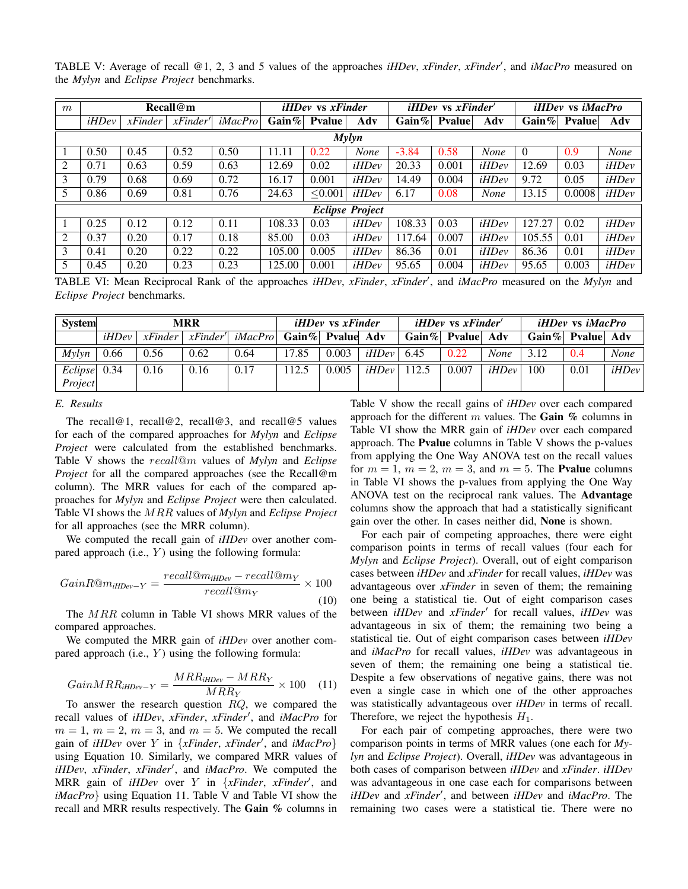| m | Recall@m               |                        |                         |         |          | <i>iHDev</i> vs <i>xFinder</i> |             |          | $iHDev$ vs $xFinder'$ |             |          | <i>iHDev</i> vs <i>iMacPro</i> |       |  |
|---|------------------------|------------------------|-------------------------|---------|----------|--------------------------------|-------------|----------|-----------------------|-------------|----------|--------------------------------|-------|--|
|   | iHDev                  | $x \rightarrow$ Finder | $x \rightarrow$ Finder' | iMacPro | $Gain\%$ | <b>Pyalue</b>                  | Adv         | Gain $%$ | <b>P</b> value        | Adv         | $Gain\%$ | Pvalue                         | Adv   |  |
|   | <b>Mylyn</b>           |                        |                         |         |          |                                |             |          |                       |             |          |                                |       |  |
|   | 0.50                   | 0.45                   | 0.52                    | 0.50    | 11.11    | 0.22                           | <b>None</b> | $-3.84$  | 0.58                  | <b>None</b> | $\Omega$ | 0.9                            | None  |  |
| 2 | 0.71                   | 0.63                   | 0.59                    | 0.63    | 12.69    | 0.02                           | iHDev       | 20.33    | 0.001                 | iHDev       | 12.69    | 0.03                           | iHDev |  |
| 3 | 0.79                   | 0.68                   | 0.69                    | 0.72    | 16.17    | 0.001                          | iHDev       | 14.49    | 0.004                 | iHDev       | 9.72     | 0.05                           | iHDev |  |
| 5 | 0.86                   | 0.69                   | 0.81                    | 0.76    | 24.63    | < 0.001                        | iHDev       | 6.17     | 0.08                  | None        | 13.15    | 0.0008                         | iHDev |  |
|   | <b>Eclipse Project</b> |                        |                         |         |          |                                |             |          |                       |             |          |                                |       |  |
|   | 0.25                   | 0.12                   | 0.12                    | 0.11    | 108.33   | 0.03                           | iHDev       | 108.33   | 0.03                  | iHDev       | 127.27   | 0.02                           | iHDev |  |
| 2 | 0.37                   | 0.20                   | 0.17                    | 0.18    | 85.00    | 0.03                           | iHDev       | 117.64   | 0.007                 | iHDev       | 105.55   | 0.01                           | iHDev |  |
| 3 | 0.41                   | 0.20                   | 0.22                    | 0.22    | 105.00   | 0.005                          | iHDev       | 86.36    | 0.01                  | iHDev       | 86.36    | 0.01                           | iHDev |  |
| 5 | 0.45                   | 0.20                   | 0.23                    | 0.23    | 125.00   | 0.001                          | iHDev       | 95.65    | 0.004                 | iHDev       | 95.65    | 0.003                          | iHDev |  |

TABLE V: Average of recall @1, 2, 3 and 5 values of the approaches *iHDev*, *xFinder*, *xFinder'*, and *iMacPro* measured on the *Mylyn* and *Eclipse Project* benchmarks.

TABLE VI: Mean Reciprocal Rank of the approaches *iHDev*, *xFinder*, *xFinder'*, and *iMacPro* measured on the *Mylyn* and *Eclipse Project* benchmarks.

| <b>System</b>             | MRR   |      |                                                 |                            | <i>iHDev</i> vs <i>xFinder</i> |       |                          | <i>iHDev</i> vs <i>xFinder</i> |                  |       | <i>iHDev</i> vs <i>iMacPro</i> |      |       |
|---------------------------|-------|------|-------------------------------------------------|----------------------------|--------------------------------|-------|--------------------------|--------------------------------|------------------|-------|--------------------------------|------|-------|
|                           | iHDev |      | $x \rightarrow$ Finder   $x \rightarrow$ Finder | $iMacPro$ Gain% Pvalue Adv |                                |       |                          |                                | Gain% Pvalue Adv |       | Gain $\%$ Pvalue Adv           |      |       |
| $M$ ylyn                  | 0.66  | 0.56 | 0.62                                            | 0.64                       | 17.85                          | 0.003 | <i>iHDev</i> $\mid$ 6.45 |                                | 0.22             | None  | 3.12                           | 0.4  | None  |
| $Eclipse$ 0.34<br>Project |       | 0.16 | 0.16                                            | 0.17                       | 12.5                           | 0.005 | iHDev                    | 112.5                          | 0.007            | iHDev | 100                            | 0.01 | iHDev |

#### *E. Results*

The recall@1, recall@2, recall@3, and recall@5 values for each of the compared approaches for *Mylyn* and *Eclipse Project* were calculated from the established benchmarks. Table V shows the recall@m values of *Mylyn* and *Eclipse Project* for all the compared approaches (see the Recall@m column). The MRR values for each of the compared approaches for *Mylyn* and *Eclipse Project* were then calculated. Table VI shows the MRR values of *Mylyn* and *Eclipse Project* for all approaches (see the MRR column).

We computed the recall gain of *iHDev* over another compared approach (i.e.,  $Y$ ) using the following formula:

$$
GainR@m_{iHDev-Y} = \frac{recall@m_{iHDev} - recall@m_Y}{recall@m_Y} \times 100
$$
\n(10)

The MRR column in Table VI shows MRR values of the compared approaches.

We computed the MRR gain of *iHDev* over another compared approach (i.e.,  $Y$ ) using the following formula:

$$
GainMRR_{iHDev-Y} = \frac{MRR_{iHDev} - MRR_Y}{MRR_Y} \times 100 \quad (11)
$$

To answer the research question  $RQ$ , we compared the recall values of *iHDev*, *xFinder*, *xFinder'*, and *iMacPro* for  $m = 1$ ,  $m = 2$ ,  $m = 3$ , and  $m = 5$ . We computed the recall gain of *iHDev* over Y in {*xFinder*, *xFinder'*, and *iMacPro*} using Equation 10. Similarly, we compared MRR values of *iHDev*, *xFinder*, *xFinder'*, and *iMacPro*. We computed the MRR gain of *iHDev* over Y in {*xFinder*, *xFinder'*, and *iMacPro*} using Equation 11. Table V and Table VI show the recall and MRR results respectively. The Gain % columns in

Table V show the recall gains of *iHDev* over each compared approach for the different  $m$  values. The Gain  $%$  columns in Table VI show the MRR gain of *iHDev* over each compared approach. The Pvalue columns in Table V shows the p-values from applying the One Way ANOVA test on the recall values for  $m = 1$ ,  $m = 2$ ,  $m = 3$ , and  $m = 5$ . The **Pvalue** columns in Table VI shows the p-values from applying the One Way ANOVA test on the reciprocal rank values. The Advantage columns show the approach that had a statistically significant gain over the other. In cases neither did, None is shown.

For each pair of competing approaches, there were eight comparison points in terms of recall values (four each for *Mylyn* and *Eclipse Project*). Overall, out of eight comparison cases between *iHDev* and *xFinder* for recall values, *iHDev* was advantageous over *xFinder* in seven of them; the remaining one being a statistical tie. Out of eight comparison cases between *iHDev* and *xFinder'* for recall values, *iHDev* was advantageous in six of them; the remaining two being a statistical tie. Out of eight comparison cases between *iHDev* and *iMacPro* for recall values, *iHDev* was advantageous in seven of them; the remaining one being a statistical tie. Despite a few observations of negative gains, there was not even a single case in which one of the other approaches was statistically advantageous over *iHDev* in terms of recall. Therefore, we reject the hypothesis  $H_1$ .

For each pair of competing approaches, there were two comparison points in terms of MRR values (one each for *Mylyn* and *Eclipse Project*). Overall, *iHDev* was advantageous in both cases of comparison between *iHDev* and *xFinder*. *iHDev* was advantageous in one case each for comparisons between *iHDev* and *xFinder'*, and between *iHDev* and *iMacPro*. The remaining two cases were a statistical tie. There were no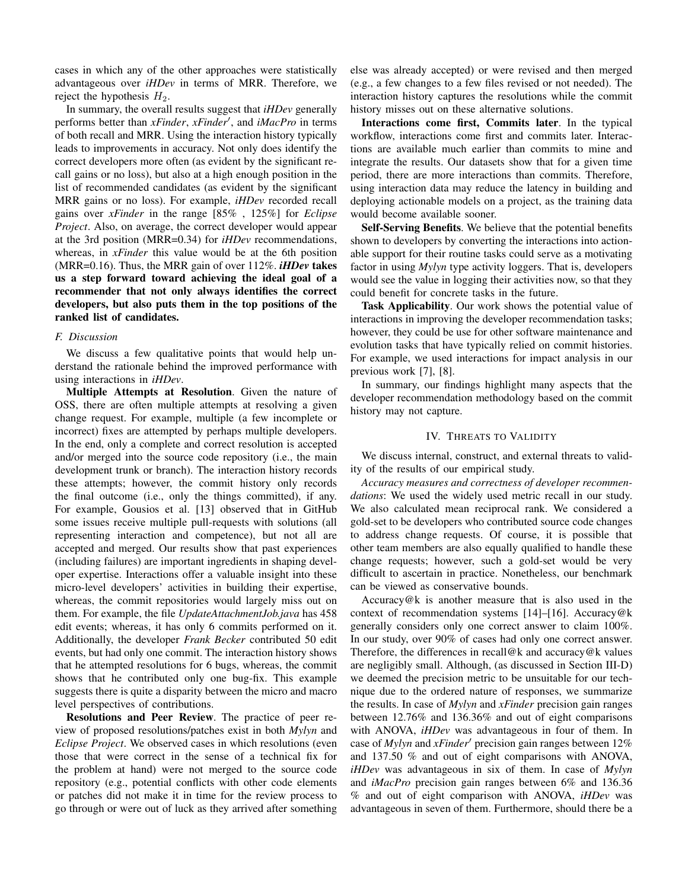cases in which any of the other approaches were statistically advantageous over *iHDev* in terms of MRR. Therefore, we reject the hypothesis  $H_2$ .

In summary, the overall results suggest that *iHDev* generally performs better than *xFinder*, *xFinder'*, and *iMacPro* in terms of both recall and MRR. Using the interaction history typically leads to improvements in accuracy. Not only does identify the correct developers more often (as evident by the significant recall gains or no loss), but also at a high enough position in the list of recommended candidates (as evident by the significant MRR gains or no loss). For example, *iHDev* recorded recall gains over *xFinder* in the range [85% , 125%] for *Eclipse Project*. Also, on average, the correct developer would appear at the 3rd position (MRR=0.34) for *iHDev* recommendations, whereas, in *xFinder* this value would be at the 6th position (MRR=0.16). Thus, the MRR gain of over 112%. *iHDev* takes us a step forward toward achieving the ideal goal of a recommender that not only always identifies the correct developers, but also puts them in the top positions of the ranked list of candidates.

#### *F. Discussion*

We discuss a few qualitative points that would help understand the rationale behind the improved performance with using interactions in *iHDev*.

Multiple Attempts at Resolution. Given the nature of OSS, there are often multiple attempts at resolving a given change request. For example, multiple (a few incomplete or incorrect) fixes are attempted by perhaps multiple developers. In the end, only a complete and correct resolution is accepted and/or merged into the source code repository (i.e., the main development trunk or branch). The interaction history records these attempts; however, the commit history only records the final outcome (i.e., only the things committed), if any. For example, Gousios et al. [13] observed that in GitHub some issues receive multiple pull-requests with solutions (all representing interaction and competence), but not all are accepted and merged. Our results show that past experiences (including failures) are important ingredients in shaping developer expertise. Interactions offer a valuable insight into these micro-level developers' activities in building their expertise, whereas, the commit repositories would largely miss out on them. For example, the file *UpdateAttachmentJob.java* has 458 edit events; whereas, it has only 6 commits performed on it. Additionally, the developer *Frank Becker* contributed 50 edit events, but had only one commit. The interaction history shows that he attempted resolutions for 6 bugs, whereas, the commit shows that he contributed only one bug-fix. This example suggests there is quite a disparity between the micro and macro level perspectives of contributions.

Resolutions and Peer Review. The practice of peer review of proposed resolutions/patches exist in both *Mylyn* and *Eclipse Project*. We observed cases in which resolutions (even those that were correct in the sense of a technical fix for the problem at hand) were not merged to the source code repository (e.g., potential conflicts with other code elements or patches did not make it in time for the review process to go through or were out of luck as they arrived after something

else was already accepted) or were revised and then merged (e.g., a few changes to a few files revised or not needed). The interaction history captures the resolutions while the commit history misses out on these alternative solutions.

Interactions come first, Commits later. In the typical workflow, interactions come first and commits later. Interactions are available much earlier than commits to mine and integrate the results. Our datasets show that for a given time period, there are more interactions than commits. Therefore, using interaction data may reduce the latency in building and deploying actionable models on a project, as the training data would become available sooner.

Self-Serving Benefits. We believe that the potential benefits shown to developers by converting the interactions into actionable support for their routine tasks could serve as a motivating factor in using *Mylyn* type activity loggers. That is, developers would see the value in logging their activities now, so that they could benefit for concrete tasks in the future.

Task Applicability. Our work shows the potential value of interactions in improving the developer recommendation tasks; however, they could be use for other software maintenance and evolution tasks that have typically relied on commit histories. For example, we used interactions for impact analysis in our previous work [7], [8].

In summary, our findings highlight many aspects that the developer recommendation methodology based on the commit history may not capture.

## IV. THREATS TO VALIDITY

We discuss internal, construct, and external threats to validity of the results of our empirical study.

*Accuracy measures and correctness of developer recommendations*: We used the widely used metric recall in our study. We also calculated mean reciprocal rank. We considered a gold-set to be developers who contributed source code changes to address change requests. Of course, it is possible that other team members are also equally qualified to handle these change requests; however, such a gold-set would be very difficult to ascertain in practice. Nonetheless, our benchmark can be viewed as conservative bounds.

Accuracy@k is another measure that is also used in the context of recommendation systems [14]–[16]. Accuracy@k generally considers only one correct answer to claim 100%. In our study, over 90% of cases had only one correct answer. Therefore, the differences in recall@k and accuracy@k values are negligibly small. Although, (as discussed in Section III-D) we deemed the precision metric to be unsuitable for our technique due to the ordered nature of responses, we summarize the results. In case of *Mylyn* and *xFinder* precision gain ranges between 12.76% and 136.36% and out of eight comparisons with ANOVA, *iHDev* was advantageous in four of them. In case of *Mylyn* and *xFinder'* precision gain ranges between 12% and 137.50 % and out of eight comparisons with ANOVA, *iHDev* was advantageous in six of them. In case of *Mylyn* and *iMacPro* precision gain ranges between 6% and 136.36 % and out of eight comparison with ANOVA, *iHDev* was advantageous in seven of them. Furthermore, should there be a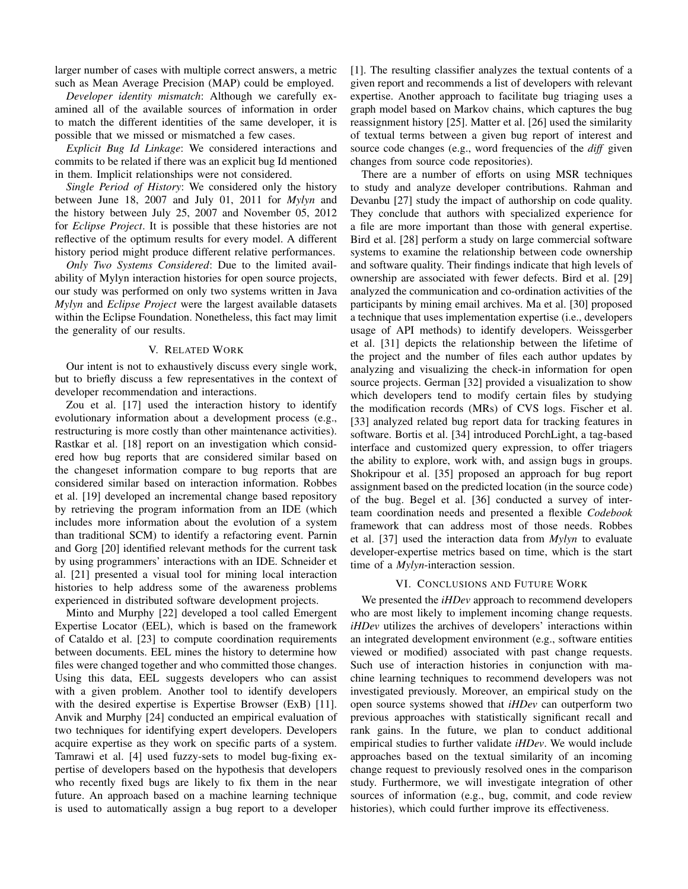larger number of cases with multiple correct answers, a metric such as Mean Average Precision (MAP) could be employed.

*Developer identity mismatch*: Although we carefully examined all of the available sources of information in order to match the different identities of the same developer, it is possible that we missed or mismatched a few cases.

*Explicit Bug Id Linkage*: We considered interactions and commits to be related if there was an explicit bug Id mentioned in them. Implicit relationships were not considered.

*Single Period of History*: We considered only the history between June 18, 2007 and July 01, 2011 for *Mylyn* and the history between July 25, 2007 and November 05, 2012 for *Eclipse Project*. It is possible that these histories are not reflective of the optimum results for every model. A different history period might produce different relative performances.

*Only Two Systems Considered*: Due to the limited availability of Mylyn interaction histories for open source projects, our study was performed on only two systems written in Java *Mylyn* and *Eclipse Project* were the largest available datasets within the Eclipse Foundation. Nonetheless, this fact may limit the generality of our results.

# V. RELATED WORK

Our intent is not to exhaustively discuss every single work, but to briefly discuss a few representatives in the context of developer recommendation and interactions.

Zou et al. [17] used the interaction history to identify evolutionary information about a development process (e.g., restructuring is more costly than other maintenance activities). Rastkar et al. [18] report on an investigation which considered how bug reports that are considered similar based on the changeset information compare to bug reports that are considered similar based on interaction information. Robbes et al. [19] developed an incremental change based repository by retrieving the program information from an IDE (which includes more information about the evolution of a system than traditional SCM) to identify a refactoring event. Parnin and Gorg [20] identified relevant methods for the current task by using programmers' interactions with an IDE. Schneider et al. [21] presented a visual tool for mining local interaction histories to help address some of the awareness problems experienced in distributed software development projects.

Minto and Murphy [22] developed a tool called Emergent Expertise Locator (EEL), which is based on the framework of Cataldo et al. [23] to compute coordination requirements between documents. EEL mines the history to determine how files were changed together and who committed those changes. Using this data, EEL suggests developers who can assist with a given problem. Another tool to identify developers with the desired expertise is Expertise Browser (ExB) [11]. Anvik and Murphy [24] conducted an empirical evaluation of two techniques for identifying expert developers. Developers acquire expertise as they work on specific parts of a system. Tamrawi et al. [4] used fuzzy-sets to model bug-fixing expertise of developers based on the hypothesis that developers who recently fixed bugs are likely to fix them in the near future. An approach based on a machine learning technique is used to automatically assign a bug report to a developer

[1]. The resulting classifier analyzes the textual contents of a given report and recommends a list of developers with relevant expertise. Another approach to facilitate bug triaging uses a graph model based on Markov chains, which captures the bug reassignment history [25]. Matter et al. [26] used the similarity of textual terms between a given bug report of interest and source code changes (e.g., word frequencies of the *diff* given changes from source code repositories).

There are a number of efforts on using MSR techniques to study and analyze developer contributions. Rahman and Devanbu [27] study the impact of authorship on code quality. They conclude that authors with specialized experience for a file are more important than those with general expertise. Bird et al. [28] perform a study on large commercial software systems to examine the relationship between code ownership and software quality. Their findings indicate that high levels of ownership are associated with fewer defects. Bird et al. [29] analyzed the communication and co-ordination activities of the participants by mining email archives. Ma et al. [30] proposed a technique that uses implementation expertise (i.e., developers usage of API methods) to identify developers. Weissgerber et al. [31] depicts the relationship between the lifetime of the project and the number of files each author updates by analyzing and visualizing the check-in information for open source projects. German [32] provided a visualization to show which developers tend to modify certain files by studying the modification records (MRs) of CVS logs. Fischer et al. [33] analyzed related bug report data for tracking features in software. Bortis et al. [34] introduced PorchLight, a tag-based interface and customized query expression, to offer triagers the ability to explore, work with, and assign bugs in groups. Shokripour et al. [35] proposed an approach for bug report assignment based on the predicted location (in the source code) of the bug. Begel et al. [36] conducted a survey of interteam coordination needs and presented a flexible *Codebook* framework that can address most of those needs. Robbes et al. [37] used the interaction data from *Mylyn* to evaluate developer-expertise metrics based on time, which is the start time of a *Mylyn*-interaction session.

# VI. CONCLUSIONS AND FUTURE WORK

We presented the *iHDev* approach to recommend developers who are most likely to implement incoming change requests. *iHDev* utilizes the archives of developers' interactions within an integrated development environment (e.g., software entities viewed or modified) associated with past change requests. Such use of interaction histories in conjunction with machine learning techniques to recommend developers was not investigated previously. Moreover, an empirical study on the open source systems showed that *iHDev* can outperform two previous approaches with statistically significant recall and rank gains. In the future, we plan to conduct additional empirical studies to further validate *iHDev*. We would include approaches based on the textual similarity of an incoming change request to previously resolved ones in the comparison study. Furthermore, we will investigate integration of other sources of information (e.g., bug, commit, and code review histories), which could further improve its effectiveness.